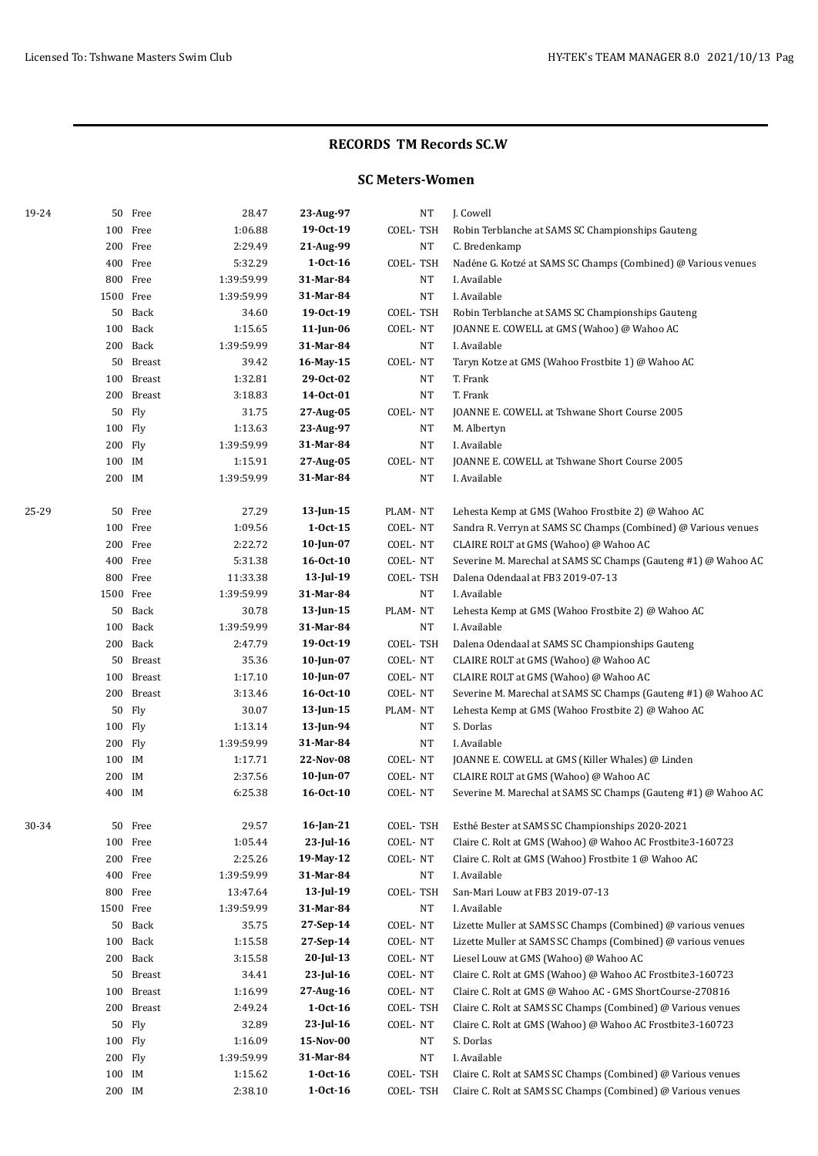### **RECORDS TM Records SC.W**

## **SC Meters-Women**

| 19-24 |                  | 50 Free    | 28.47              | 23-Aug-97                | <b>NT</b>            | J. Cowell                                                                                                                    |
|-------|------------------|------------|--------------------|--------------------------|----------------------|------------------------------------------------------------------------------------------------------------------------------|
|       |                  | 100 Free   | 1:06.88            | 19-0ct-19                | COEL-TSH             | Robin Terblanche at SAMS SC Championships Gauteng                                                                            |
|       |                  | 200 Free   | 2:29.49            | 21-Aug-99                | NT                   | C. Bredenkamp                                                                                                                |
|       |                  | 400 Free   | 5:32.29            | $1-0ct-16$               | COEL-TSH             | Nadéne G. Kotzé at SAMS SC Champs (Combined) @ Various venues                                                                |
|       |                  | 800 Free   | 1:39:59.99         | 31-Mar-84                | NT                   | I. Available                                                                                                                 |
|       | 1500 Free        |            | 1:39:59.99         | 31-Mar-84                | NT                   | I. Available                                                                                                                 |
|       |                  | 50 Back    | 34.60              | 19-0ct-19                | COEL-TSH             | Robin Terblanche at SAMS SC Championships Gauteng                                                                            |
|       |                  | 100 Back   | 1:15.65            | 11-Jun-06                | COEL-NT              | JOANNE E. COWELL at GMS (Wahoo) @ Wahoo AC                                                                                   |
|       |                  | 200 Back   | 1:39:59.99         | 31-Mar-84                | <b>NT</b>            | I. Available                                                                                                                 |
|       | 50               | Breast     | 39.42              | 16-May-15                | COEL-NT              | Taryn Kotze at GMS (Wahoo Frostbite 1) @ Wahoo AC                                                                            |
|       |                  | 100 Breast | 1:32.81            | 29-Oct-02                | NT                   | T. Frank                                                                                                                     |
|       |                  | 200 Breast | 3:18.83            | 14-0ct-01                | NT                   | T. Frank                                                                                                                     |
|       |                  | 50 Fly     | 31.75              | 27-Aug-05                | COEL-NT              | JOANNE E. COWELL at Tshwane Short Course 2005                                                                                |
|       | 100 Fly          |            | 1:13.63            | 23-Aug-97                | NT                   | M. Albertyn                                                                                                                  |
|       | 200 Fly          |            | 1:39:59.99         | 31-Mar-84                | NT                   | I. Available                                                                                                                 |
|       | 100 IM           |            | 1:15.91            | 27-Aug-05                | COEL-NT              | JOANNE E. COWELL at Tshwane Short Course 2005                                                                                |
|       | 200 IM           |            | 1:39:59.99         | 31-Mar-84                | NT                   | I. Available                                                                                                                 |
| 25-29 |                  | 50 Free    | 27.29              | $13$ -Jun-15             | PLAM-NT              | Lehesta Kemp at GMS (Wahoo Frostbite 2) @ Wahoo AC                                                                           |
|       |                  | 100 Free   | 1:09.56            | $1 - 0ct - 15$           | COEL-NT              | Sandra R. Verryn at SAMS SC Champs (Combined) @ Various venues                                                               |
|       |                  | 200 Free   | 2:22.72            | $10$ -Jun-07             | COEL-NT              | CLAIRE ROLT at GMS (Wahoo) @ Wahoo AC                                                                                        |
|       |                  | 400 Free   | 5:31.38            | $16 - Oct-10$            | COEL-NT              | Severine M. Marechal at SAMS SC Champs (Gauteng #1) @ Wahoo AC                                                               |
|       |                  | 800 Free   | 11:33.38           | 13-Jul-19                | COEL-TSH             | Dalena Odendaal at FB3 2019-07-13                                                                                            |
|       | 1500 Free        |            | 1:39:59.99         | 31-Mar-84                | NT                   | I. Available                                                                                                                 |
|       |                  | 50 Back    | 30.78              | 13-Jun-15                | PLAM-NT              | Lehesta Kemp at GMS (Wahoo Frostbite 2) @ Wahoo AC                                                                           |
|       |                  | 100 Back   | 1:39:59.99         | 31-Mar-84                | NT                   | I. Available                                                                                                                 |
|       |                  | 200 Back   | 2:47.79            | 19-0ct-19                | COEL-TSH             | Dalena Odendaal at SAMS SC Championships Gauteng                                                                             |
|       |                  | 50 Breast  | 35.36              | 10-Jun-07                | COEL-NT              | CLAIRE ROLT at GMS (Wahoo) @ Wahoo AC                                                                                        |
|       |                  | 100 Breast | 1:17.10            | $10$ -Jun-07             | COEL-NT              | CLAIRE ROLT at GMS (Wahoo) @ Wahoo AC                                                                                        |
|       |                  | 200 Breast | 3:13.46            | $16 - Oct-10$            | COEL-NT              | Severine M. Marechal at SAMS SC Champs (Gauteng #1) @ Wahoo AC                                                               |
|       |                  | 50 Fly     | 30.07              | 13-Jun-15                | PLAM-NT              | Lehesta Kemp at GMS (Wahoo Frostbite 2) @ Wahoo AC                                                                           |
|       | 100 Fly          |            | 1:13.14            | 13-Jun-94                | NT                   | S. Dorlas                                                                                                                    |
|       | 200 Fly          |            | 1:39:59.99         | 31-Mar-84                | NT                   | I. Available                                                                                                                 |
|       | 100 IM           |            | 1:17.71            | 22-Nov-08                | COEL-NT              | JOANNE E. COWELL at GMS (Killer Whales) @ Linden                                                                             |
|       | 200 IM           |            | 2:37.56            | $10$ -Jun-07             | COEL-NT              | CLAIRE ROLT at GMS (Wahoo) @ Wahoo AC                                                                                        |
|       | 400 IM           |            | 6:25.38            | 16-0ct-10                | COEL-NT              | Severine M. Marechal at SAMS SC Champs (Gauteng #1) @ Wahoo AC                                                               |
| 30-34 |                  | 50 Free    | 29.57              | 16-Jan-21                | COEL-TSH             | Esthé Bester at SAMS SC Championships 2020-2021                                                                              |
|       |                  | 100 Free   | 1:05.44            | 23-Jul-16                | COEL-NT              | Claire C. Rolt at GMS (Wahoo) @ Wahoo AC Frostbite3-160723                                                                   |
|       |                  | 200 Free   | 2:25.26            | 19-May-12                | COEL-NT              | Claire C. Rolt at GMS (Wahoo) Frostbite 1 @ Wahoo AC                                                                         |
|       |                  | 400 Free   | 1:39:59.99         | 31-Mar-84                | NT                   | I. Available                                                                                                                 |
|       |                  | 800 Free   | 13:47.64           | 13-Jul-19                | COEL-TSH             | San-Mari Louw at FB3 2019-07-13                                                                                              |
|       | 1500 Free        |            | 1:39:59.99         | 31-Mar-84                | NT                   | I. Available                                                                                                                 |
|       |                  | 50 Back    | 35.75              | 27-Sep-14                | COEL-NT              | Lizette Muller at SAMS SC Champs (Combined) @ various venues                                                                 |
|       |                  | 100 Back   | 1:15.58            | 27-Sep-14                | COEL-NT              | Lizette Muller at SAMS SC Champs (Combined) @ various venues                                                                 |
|       |                  | 200 Back   | 3:15.58            | $20$ -Jul-13             | COEL-NT              | Liesel Louw at GMS (Wahoo) @ Wahoo AC                                                                                        |
|       |                  | 50 Breast  | 34.41              | $23$ -Jul-16             | COEL-NT              | Claire C. Rolt at GMS (Wahoo) @ Wahoo AC Frostbite3-160723                                                                   |
|       |                  | 100 Breast | 1:16.99            | 27-Aug-16                | COEL-NT              | Claire C. Rolt at GMS @ Wahoo AC - GMS ShortCourse-270816                                                                    |
|       |                  | 200 Breast | 2:49.24            | $1-0ct-16$               | COEL-TSH             | Claire C. Rolt at SAMS SC Champs (Combined) @ Various venues                                                                 |
|       | 50               | Fly        | 32.89              | $23$ -Jul-16             | COEL-NT              | Claire C. Rolt at GMS (Wahoo) @ Wahoo AC Frostbite3-160723                                                                   |
|       | 100 Fly          |            | 1:16.09            | 15-Nov-00                | NT                   | S. Dorlas                                                                                                                    |
|       | 200 Fly          |            | 1:39:59.99         | 31-Mar-84                | NT                   | I. Available                                                                                                                 |
|       | 100 IM<br>200 IM |            | 1:15.62<br>2:38.10 | $1-0ct-16$<br>$1-0ct-16$ | COEL-TSH<br>COEL-TSH | Claire C. Rolt at SAMS SC Champs (Combined) @ Various venues<br>Claire C. Rolt at SAMS SC Champs (Combined) @ Various venues |
|       |                  |            |                    |                          |                      |                                                                                                                              |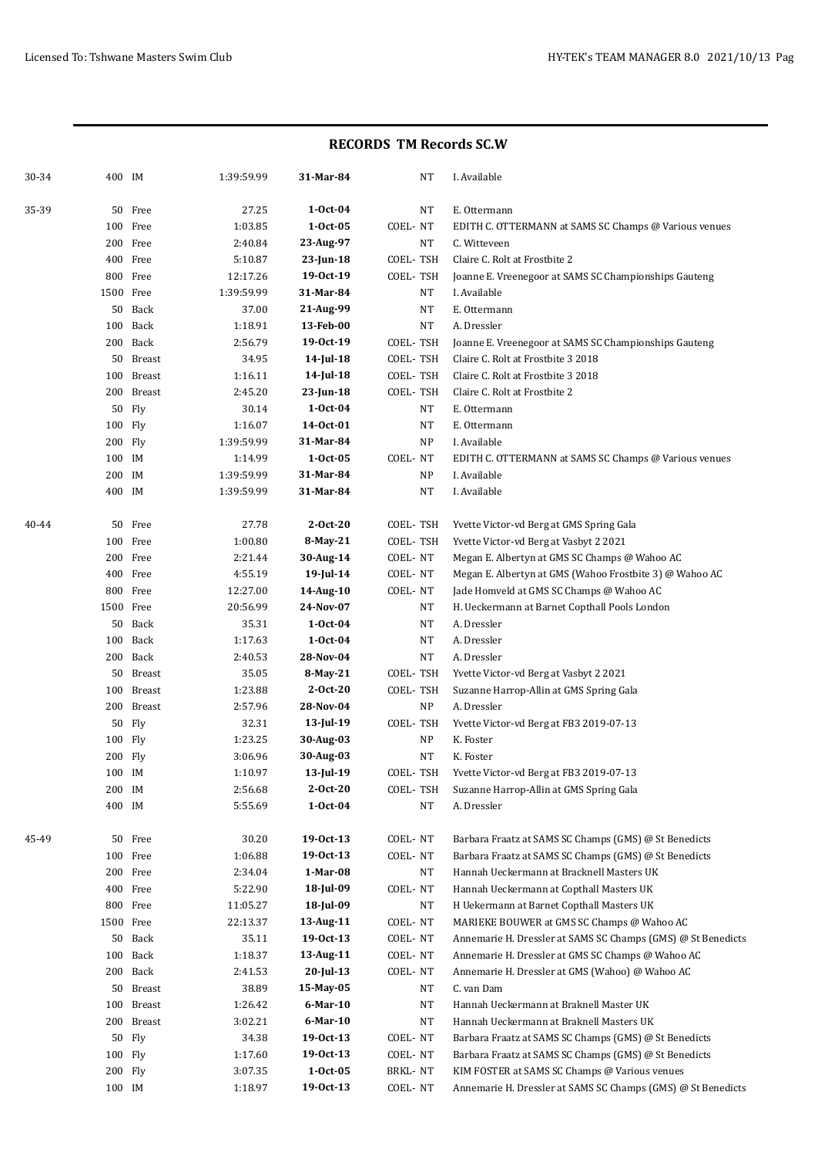### **RECORDS TM Records SC.W**

| 30-34 | 400 IM  |            | 1:39:59.99 | 31-Mar-84   |          | NT        | I. Available                                                 |
|-------|---------|------------|------------|-------------|----------|-----------|--------------------------------------------------------------|
| 35-39 |         | 50 Free    | 27.25      | $1-0ct-04$  |          | NT        | E. Ottermann                                                 |
|       | 100     | Free       | 1:03.85    | $1-0ct-05$  | COEL-NT  |           | EDITH C. OTTERMANN at SAMS SC Champs @ Various venues        |
|       |         | 200 Free   | 2:40.84    | 23-Aug-97   |          | NT        | C. Witteveen                                                 |
|       |         | 400 Free   | 5:10.87    | 23-Jun-18   | COEL-TSH |           | Claire C. Rolt at Frostbite 2                                |
|       |         | 800 Free   | 12:17.26   | 19-0ct-19   | COEL-TSH |           | Joanne E. Vreenegoor at SAMS SC Championships Gauteng        |
|       |         | 1500 Free  | 1:39:59.99 | 31-Mar-84   |          | NT        | I. Available                                                 |
|       |         | 50 Back    | 37.00      | 21-Aug-99   |          | NT        | E. Ottermann                                                 |
|       |         | 100 Back   | 1:18.91    | 13-Feb-00   |          | <b>NT</b> | A. Dressler                                                  |
|       |         | 200 Back   | 2:56.79    | 19-0ct-19   | COEL-TSH |           | Joanne E. Vreenegoor at SAMS SC Championships Gauteng        |
|       |         | 50 Breast  | 34.95      | 14-Jul-18   | COEL-TSH |           | Claire C. Rolt at Frostbite 3 2018                           |
|       |         | 100 Breast | 1:16.11    | 14-Jul-18   | COEL-TSH |           | Claire C. Rolt at Frostbite 3 2018                           |
|       |         | 200 Breast | 2:45.20    | 23-Jun-18   | COEL-TSH |           | Claire C. Rolt at Frostbite 2                                |
|       |         | 50 Fly     | 30.14      | $1-0ct-04$  |          | NT        | E. Ottermann                                                 |
|       | 100 Fly |            | 1:16.07    | 14-0ct-01   |          | NT        | E. Ottermann                                                 |
|       | 200 Fly |            | 1:39:59.99 | 31-Mar-84   |          | NP        | I. Available                                                 |
|       | 100 IM  |            | 1:14.99    | $1-0ct-05$  | COEL-NT  |           | EDITH C. OTTERMANN at SAMS SC Champs @ Various venues        |
|       | 200 IM  |            | 1:39:59.99 | 31-Mar-84   |          | NP        | I. Available                                                 |
|       | 400 IM  |            | 1:39:59.99 | 31-Mar-84   |          | NT        | I. Available                                                 |
| 40-44 | 50      | Free       | 27.78      | $2-0ct-20$  | COEL-TSH |           | Yvette Victor-vd Berg at GMS Spring Gala                     |
|       |         | 100 Free   | 1:00.80    | 8-May-21    | COEL-TSH |           | Yvette Victor-vd Berg at Vasbyt 2 2021                       |
|       |         | 200 Free   | 2:21.44    | 30-Aug-14   | COEL-NT  |           | Megan E. Albertyn at GMS SC Champs @ Wahoo AC                |
|       |         | 400 Free   | 4:55.19    | 19-Jul-14   | COEL-NT  |           | Megan E. Albertyn at GMS (Wahoo Frostbite 3) @ Wahoo AC      |
|       |         | 800 Free   | 12:27.00   | 14-Aug-10   | COEL-NT  |           | Jade Homveld at GMS SC Champs @ Wahoo AC                     |
|       |         | 1500 Free  | 20:56.99   | 24-Nov-07   |          | NT        | H. Ueckermann at Barnet Copthall Pools London                |
|       |         | 50 Back    | 35.31      | $1-0ct-04$  |          | <b>NT</b> | A. Dressler                                                  |
|       |         | 100 Back   | 1:17.63    | $1-0ct-04$  |          | NT        | A. Dressler                                                  |
|       |         | 200 Back   | 2:40.53    | 28-Nov-04   |          | <b>NT</b> | A. Dressler                                                  |
|       |         | 50 Breast  | 35.05      | 8-May-21    | COEL-TSH |           | Yvette Victor-vd Berg at Vasbyt 2 2021                       |
|       | 100     | Breast     | 1:23.88    | $2-0ct-20$  | COEL-TSH |           | Suzanne Harrop-Allin at GMS Spring Gala                      |
|       | 200     | Breast     | 2:57.96    | 28-Nov-04   |          | NP        | A. Dressler                                                  |
|       | 50      | Fly        | 32.31      | 13-Jul-19   | COEL-TSH |           | Yvette Victor-vd Berg at FB3 2019-07-13                      |
|       | 100     | Fly        | 1:23.25    | 30-Aug-03   |          | <b>NP</b> | K. Foster                                                    |
|       | 200     | Fly        | 3:06.96    | 30-Aug-03   |          | <b>NT</b> | K. Foster                                                    |
|       | 100 IM  |            | 1:10.97    | 13-Jul-19   | COEL-TSH |           | Yvette Victor-vd Berg at FB3 2019-07-13                      |
|       | 200 IM  |            | 2:56.68    | $2-Oct-20$  | COEL-TSH |           | Suzanne Harrop-Allin at GMS Spring Gala                      |
|       | 400 IM  |            | 5:55.69    | $1-0ct-04$  |          | NT        | A. Dressler                                                  |
| 45-49 | 50      | Free       | 30.20      | 19-0ct-13   | COEL-NT  |           | Barbara Fraatz at SAMS SC Champs (GMS) @ St Benedicts        |
|       |         | 100 Free   | 1:06.88    | 19-0ct-13   | COEL-NT  |           | Barbara Fraatz at SAMS SC Champs (GMS) @ St Benedicts        |
|       |         | 200 Free   | 2:34.04    | 1-Mar-08    |          | NT        | Hannah Ueckermann at Bracknell Masters UK                    |
|       |         | 400 Free   | 5:22.90    | 18-Jul-09   | COEL-NT  |           | Hannah Ueckermann at Copthall Masters UK                     |
|       |         | 800 Free   | 11:05.27   | 18-Jul-09   |          | $\rm{NT}$ | H Uekermann at Barnet Copthall Masters UK                    |
|       |         | 1500 Free  | 22:13.37   | 13-Aug-11   | COEL-NT  |           | MARIEKE BOUWER at GMS SC Champs @ Wahoo AC                   |
|       |         | 50 Back    | 35.11      | 19-0ct-13   | COEL-NT  |           | Annemarie H. Dressler at SAMS SC Champs (GMS) @ St Benedicts |
|       |         | 100 Back   | 1:18.37    | 13-Aug-11   | COEL-NT  |           | Annemarie H. Dressler at GMS SC Champs @ Wahoo AC            |
|       |         | 200 Back   | 2:41.53    | 20-Jul-13   | COEL-NT  |           | Annemarie H. Dressler at GMS (Wahoo) @ Wahoo AC              |
|       |         | 50 Breast  | 38.89      | 15-May-05   |          | NT        | C. van Dam                                                   |
|       |         | 100 Breast | 1:26.42    | $6$ -Mar-10 |          | NT        | Hannah Ueckermann at Braknell Master UK                      |
|       |         | 200 Breast | 3:02.21    | $6$ -Mar-10 |          | NT        | Hannah Ueckermann at Braknell Masters UK                     |
|       | 50      | Fly        |            | 19-0ct-13   | COEL-NT  |           | Barbara Fraatz at SAMS SC Champs (GMS) @ St Benedicts        |
|       |         |            | 34.38      |             |          |           | Barbara Fraatz at SAMS SC Champs (GMS) @ St Benedicts        |
|       | 100 Fly |            | 1:17.60    | 19-0ct-13   | COEL-NT  |           |                                                              |
|       | 200 Fly |            | 3:07.35    | $1-0ct-05$  | BRKL-NT  |           | KIM FOSTER at SAMS SC Champs @ Various venues                |
|       | 100 IM  |            | 1:18.97    | 19-0ct-13   | COEL-NT  |           | Annemarie H. Dressler at SAMS SC Champs (GMS) @ St Benedicts |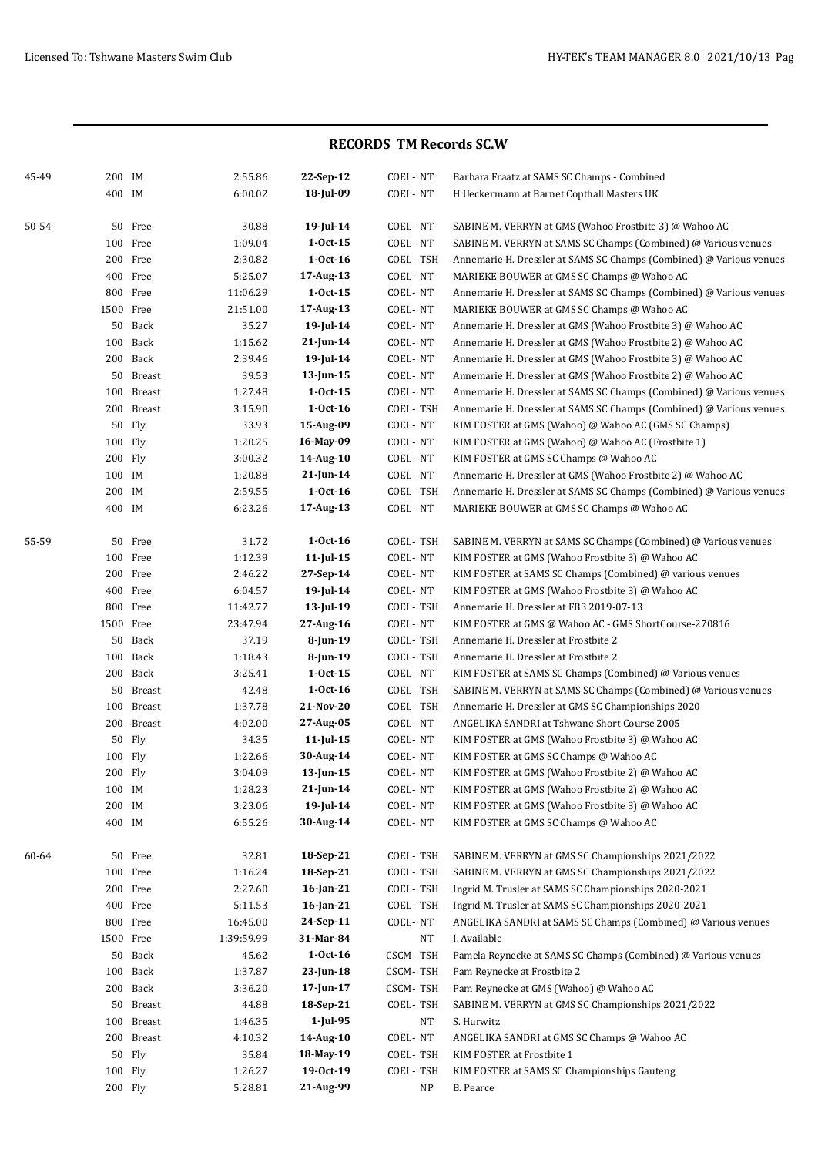### **RECORDS TM Records SC.W**

| 45-49 | 200 IM  |            | 2:55.86    | 22-Sep-12       | COEL-NT     | Barbara Fraatz at SAMS SC Champs - Combined                         |
|-------|---------|------------|------------|-----------------|-------------|---------------------------------------------------------------------|
|       | 400 IM  |            | 6:00.02    | 18-Jul-09       | COEL-NT     | H Ueckermann at Barnet Copthall Masters UK                          |
|       |         |            |            |                 |             |                                                                     |
| 50-54 |         | 50 Free    | 30.88      | 19-Jul-14       | COEL-NT     | SABINE M. VERRYN at GMS (Wahoo Frostbite 3) @ Wahoo AC              |
|       |         | 100 Free   | 1:09.04    | $1-0ct-15$      | COEL-NT     | SABINE M. VERRYN at SAMS SC Champs (Combined) @ Various venues      |
|       |         | 200 Free   | 2:30.82    | $1-0ct-16$      | COEL-TSH    | Annemarie H. Dressler at SAMS SC Champs (Combined) @ Various venues |
|       |         | 400 Free   | 5:25.07    | 17-Aug-13       | COEL-NT     | MARIEKE BOUWER at GMS SC Champs @ Wahoo AC                          |
|       |         | 800 Free   | 11:06.29   | $1 - Oct - 15$  | COEL-NT     | Annemarie H. Dressler at SAMS SC Champs (Combined) @ Various venues |
|       |         | 1500 Free  | 21:51.00   | 17-Aug-13       | COEL-NT     | MARIEKE BOUWER at GMS SC Champs @ Wahoo AC                          |
|       |         | 50 Back    | 35.27      | 19-Jul-14       | COEL-NT     | Annemarie H. Dressler at GMS (Wahoo Frostbite 3) @ Wahoo AC         |
|       |         | 100 Back   | 1:15.62    | 21-Jun-14       | COEL-NT     | Annemarie H. Dressler at GMS (Wahoo Frostbite 2) @ Wahoo AC         |
|       |         | 200 Back   | 2:39.46    | 19-Jul-14       | COEL-NT     | Annemarie H. Dressler at GMS (Wahoo Frostbite 3) @ Wahoo AC         |
|       |         | 50 Breast  | 39.53      | $13$ -Jun-15    | COEL-NT     | Annemarie H. Dressler at GMS (Wahoo Frostbite 2) @ Wahoo AC         |
|       |         | 100 Breast | 1:27.48    | $1-0ct-15$      | COEL-NT     | Annemarie H. Dressler at SAMS SC Champs (Combined) @ Various venues |
|       |         | 200 Breast | 3:15.90    | $1-0ct-16$      | COEL-TSH    | Annemarie H. Dressler at SAMS SC Champs (Combined) @ Various venues |
|       |         | 50 Fly     | 33.93      | 15-Aug-09       | COEL-NT     | KIM FOSTER at GMS (Wahoo) @ Wahoo AC (GMS SC Champs)                |
|       | 100 Fly |            | 1:20.25    | 16-May-09       | COEL-NT     | KIM FOSTER at GMS (Wahoo) @ Wahoo AC (Frostbite 1)                  |
|       | 200 Fly |            | 3:00.32    | 14-Aug-10       | COEL-NT     | KIM FOSTER at GMS SC Champs @ Wahoo AC                              |
|       | 100 IM  |            | 1:20.88    | $21$ -Jun-14    | COEL-NT     | Annemarie H. Dressler at GMS (Wahoo Frostbite 2) @ Wahoo AC         |
|       | 200 IM  |            | 2:59.55    | $1-0ct-16$      | COEL-TSH    | Annemarie H. Dressler at SAMS SC Champs (Combined) @ Various venues |
|       | 400 IM  |            | 6:23.26    | 17-Aug-13       | COEL-NT     | MARIEKE BOUWER at GMS SC Champs @ Wahoo AC                          |
| 55-59 |         | 50 Free    | 31.72      | $1-0ct-16$      | COEL-TSH    | SABINE M. VERRYN at SAMS SC Champs (Combined) @ Various venues      |
|       |         | 100 Free   | 1:12.39    | $11$ -Jul-15    | COEL-NT     | KIM FOSTER at GMS (Wahoo Frostbite 3) @ Wahoo AC                    |
|       |         | 200 Free   | 2:46.22    | 27-Sep-14       | COEL-NT     | KIM FOSTER at SAMS SC Champs (Combined) $@$ various venues          |
|       |         | 400 Free   | 6:04.57    | $19$ -Jul-14    | COEL-NT     | KIM FOSTER at GMS (Wahoo Frostbite 3) @ Wahoo AC                    |
|       |         | 800 Free   | 11:42.77   | $13$ -Jul-19    | COEL-TSH    | Annemarie H. Dressler at FB3 2019-07-13                             |
|       |         | 1500 Free  | 23:47.94   | 27-Aug-16       | COEL-NT     | KIM FOSTER at GMS @ Wahoo AC - GMS ShortCourse-270816               |
|       |         | 50 Back    | 37.19      | $8$ -Jun-19     | COEL-TSH    | Annemarie H. Dressler at Frostbite 2                                |
|       |         | 100 Back   | 1:18.43    | $8$ -Jun-19     | COEL-TSH    | Annemarie H. Dressler at Frostbite 2                                |
|       |         | 200 Back   | 3:25.41    | $1 - Oct - 15$  | COEL-NT     | KIM FOSTER at SAMS SC Champs (Combined) @ Various venues            |
|       |         | 50 Breast  | 42.48      | $1-0ct-16$      | COEL-TSH    | SABINE M. VERRYN at SAMS SC Champs (Combined) @ Various venues      |
|       |         | 100 Breast | 1:37.78    | 21-Nov-20       | COEL-TSH    | Annemarie H. Dressler at GMS SC Championships 2020                  |
|       |         | 200 Breast | 4:02.00    | 27-Aug-05       | COEL-NT     | ANGELIKA SANDRI at Tshwane Short Course 2005                        |
|       |         | 50 Fly     | 34.35      | $11$ -Jul-15    | COEL-NT     | KIM FOSTER at GMS (Wahoo Frostbite 3) @ Wahoo AC                    |
|       | 100 Fly |            | 1:22.66    | 30-Aug-14       | COEL-NT     | KIM FOSTER at GMS SC Champs @ Wahoo AC                              |
|       | 200 Fly |            | 3:04.09    | 13-Jun-15       | COEL-NT     | KIM FOSTER at GMS (Wahoo Frostbite 2) @ Wahoo AC                    |
|       | 100 IM  |            | 1:28.23    | $21$ -Jun-14    | COEL-NT     | KIM FOSTER at GMS (Wahoo Frostbite 2) @ Wahoo AC                    |
|       | 200 IM  |            | 3:23.06    | $19$ -Jul-14    | COEL-NT     | KIM FOSTER at GMS (Wahoo Frostbite 3) @ Wahoo AC                    |
|       | 400 IM  |            | 6:55.26    | 30-Aug-14       | COEL-NT     | KIM FOSTER at GMS SC Champs @ Wahoo AC                              |
| 60-64 |         | 50 Free    | 32.81      | 18-Sep-21       | COEL-TSH    | SABINE M. VERRYN at GMS SC Championships 2021/2022                  |
|       |         | 100 Free   | 1:16.24    | 18-Sep-21       | COEL-TSH    | SABINE M. VERRYN at GMS SC Championships 2021/2022                  |
|       |         | 200 Free   | 2:27.60    | 16-Jan-21       | COEL-TSH    | Ingrid M. Trusler at SAMS SC Championships 2020-2021                |
|       |         | 400 Free   | 5:11.53    | 16-Jan-21       | COEL-TSH    | Ingrid M. Trusler at SAMS SC Championships 2020-2021                |
|       |         | 800 Free   | 16:45.00   | 24-Sep-11       | COEL-NT     | ANGELIKA SANDRI at SAMS SC Champs (Combined) @ Various venues       |
|       |         | 1500 Free  | 1:39:59.99 | 31-Mar-84       | $_{\rm NT}$ | I. Available                                                        |
|       |         | 50 Back    | 45.62      | $1-0ct-16$      | CSCM-TSH    | Pamela Reynecke at SAMS SC Champs (Combined) @ Various venues       |
|       |         | 100 Back   | 1:37.87    | 23-Jun-18       | CSCM-TSH    | Pam Reynecke at Frostbite 2                                         |
|       |         | 200 Back   | 3:36.20    | $17$ -Jun- $17$ | CSCM-TSH    | Pam Reynecke at GMS (Wahoo) @ Wahoo AC                              |
|       |         | 50 Breast  | 44.88      | 18-Sep-21       | COEL-TSH    | SABINE M. VERRYN at GMS SC Championships 2021/2022                  |
|       |         | 100 Breast | 1:46.35    | $1$ -Jul-95     | NT          | S. Hurwitz                                                          |
|       |         | 200 Breast | 4:10.32    | 14-Aug-10       | COEL-NT     | ANGELIKA SANDRI at GMS SC Champs @ Wahoo AC                         |
|       |         | 50 Fly     | 35.84      | 18-May-19       | COEL-TSH    | KIM FOSTER at Frostbite 1                                           |
|       |         | 100 Fly    | 1:26.27    | 19-0ct-19       | COEL-TSH    | KIM FOSTER at SAMS SC Championships Gauteng                         |
|       |         | 200 Fly    | 5:28.81    | 21-Aug-99       | NP          | <b>B.</b> Pearce                                                    |
|       |         |            |            |                 |             |                                                                     |